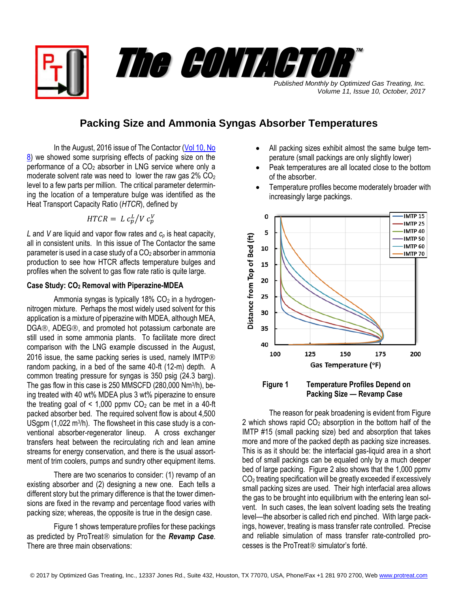*Published Monthly by Optimized Gas Treating, Inc. Volume 11, Issue 10, October, 2017* The CONTACTOR

™

## **Packing Size and Ammonia Syngas Absorber Temperatures**

In the August, 2016 issue of The Contactor (Vol 10, No [8\)](https://www.protreat.com/files/publications/177/Contactor%20Vol_10%20No_8%20(Effect%20of%20Packing%20Size%20on%20Absorber%20Temperature).pdf) we showed some surprising effects of packing size on the performance of a  $CO<sub>2</sub>$  absorber in LNG service where only a moderate solvent rate was need to lower the raw gas  $2\%$  CO<sub>2</sub> level to a few parts per million. The critical parameter determining the location of a temperature bulge was identified as the Heat Transport Capacity Ratio (*HTCR*), defined by

$$
HTCR = L c_p^L / V c_p^V
$$

*L* and *V* are liquid and vapor flow rates and *c<sup>p</sup>* is heat capacity, all in consistent units. In this issue of The Contactor the same parameter is used in a case study of a  $CO<sub>2</sub>$  absorber in ammonia production to see how HTCR affects temperature bulges and profiles when the solvent to gas flow rate ratio is quite large.

## **Case Study: CO<sup>2</sup> Removal with Piperazine-MDEA**

Ammonia syngas is typically  $18\%$  CO<sub>2</sub> in a hydrogennitrogen mixture. Perhaps the most widely used solvent for this application is a mixture of piperazine with MDEA, although MEA, DGA®, ADEG®, and promoted hot potassium carbonate are still used in some ammonia plants. To facilitate more direct comparison with the LNG example discussed in the August, 2016 issue, the same packing series is used, namely IMTP® random packing, in a bed of the same 40-ft (12-m) depth. A common treating pressure for syngas is 350 psig (24.3 barg). The gas flow in this case is 250 MMSCFD (280,000 Nm<sup>3</sup>/h), being treated with 40 wt% MDEA plus 3 wt% piperazine to ensure the treating goal of  $\leq 1,000$  ppmv CO<sub>2</sub> can be met in a 40-ft packed absorber bed. The required solvent flow is about 4,500 USgpm (1,022 m<sup>3</sup>/h). The flowsheet in this case study is a conventional absorber-regenerator lineup. A cross exchanger transfers heat between the recirculating rich and lean amine streams for energy conservation, and there is the usual assortment of trim coolers, pumps and sundry other equipment items.

There are two scenarios to consider: (1) revamp of an existing absorber and (2) designing a new one. Each tells a different story but the primary difference is that the tower dimensions are fixed in the revamp and percentage flood varies with packing size; whereas, the opposite is true in the design case.

Figure 1 shows temperature profiles for these packings as predicted by ProTreat<sup>®</sup> simulation for the *Revamp Case*. There are three main observations:

- All packing sizes exhibit almost the same bulge temperature (small packings are only slightly lower)
- Peak temperatures are all located close to the bottom of the absorber.
- Temperature profiles become moderately broader with increasingly large packings.



**Packing Size — Revamp Case**

The reason for peak broadening is evident from Figure 2 which shows rapid  $CO<sub>2</sub>$  absorption in the bottom half of the IMTP #15 (small packing size) bed and absorption that takes more and more of the packed depth as packing size increases. This is as it should be: the interfacial gas-liquid area in a short bed of small packings can be equaled only by a much deeper bed of large packing. Figure 2 also shows that the 1,000 ppmv CO<sup>2</sup> treating specification will be greatly exceeded if excessively small packing sizes are used. Their high interfacial area allows the gas to be brought into equilibrium with the entering lean solvent. In such cases, the lean solvent loading sets the treating level—the absorber is called rich end pinched. With large packings, however, treating is mass transfer rate controlled. Precise and reliable simulation of mass transfer rate-controlled pro $c$ esses is the ProTreat $\mathbb R$  simulator's forté.